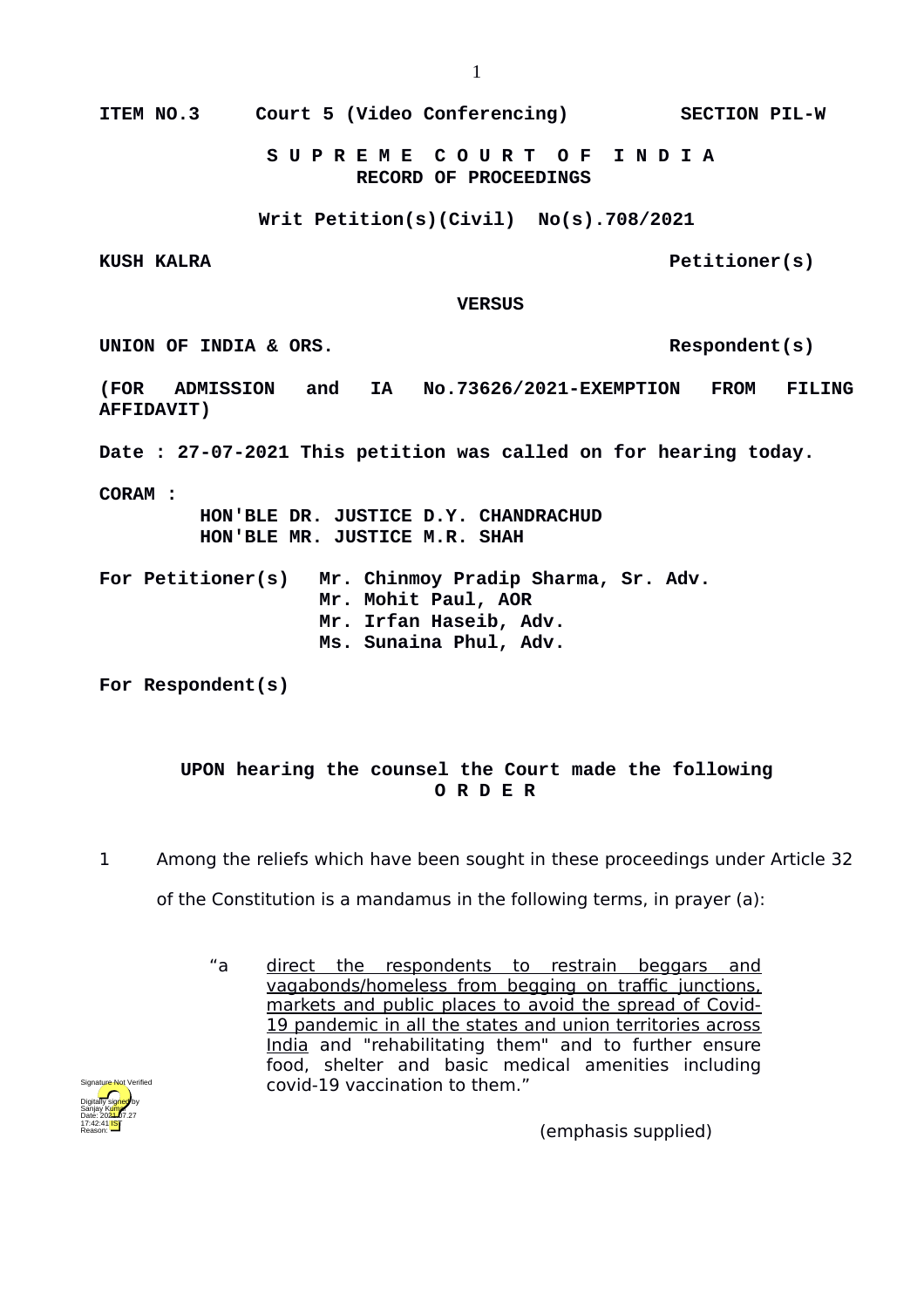**ITEM NO.3 Court 5 (Video Conferencing) SECTION PIL-W**

 **S U P R E M E C O U R T O F I N D I A RECORD OF PROCEEDINGS**

**Writ Petition(s)(Civil) No(s).708/2021**

KUSH KALRA **Petitioner(s)** 

 **VERSUS**

UNION OF INDIA & ORS.

**(FOR ADMISSION and IA No.73626/2021-EXEMPTION FROM FILING AFFIDAVIT)**

**Date : 27-07-2021 This petition was called on for hearing today.**

**CORAM :** 

 **HON'BLE DR. JUSTICE D.Y. CHANDRACHUD HON'BLE MR. JUSTICE M.R. SHAH**

**For Petitioner(s) Mr. Chinmoy Pradip Sharma, Sr. Adv. Mr. Mohit Paul, AOR Mr. Irfan Haseib, Adv. Ms. Sunaina Phul, Adv.**

**For Respondent(s)**

## **UPON hearing the counsel the Court made the following O R D E R**

1 Among the reliefs which have been sought in these proceedings under Article 32

of the Constitution is a mandamus in the following terms, in prayer (a):

"a direct the respondents to restrain beggars and vagabonds/homeless from begging on traffic junctions, markets and public places to avoid the spread of Covid-19 pandemic in all the states and union territories across India and "rehabilitating them" and to further ensure food, shelter and basic medical amenities including covid-19 vaccination to them."



(emphasis supplied)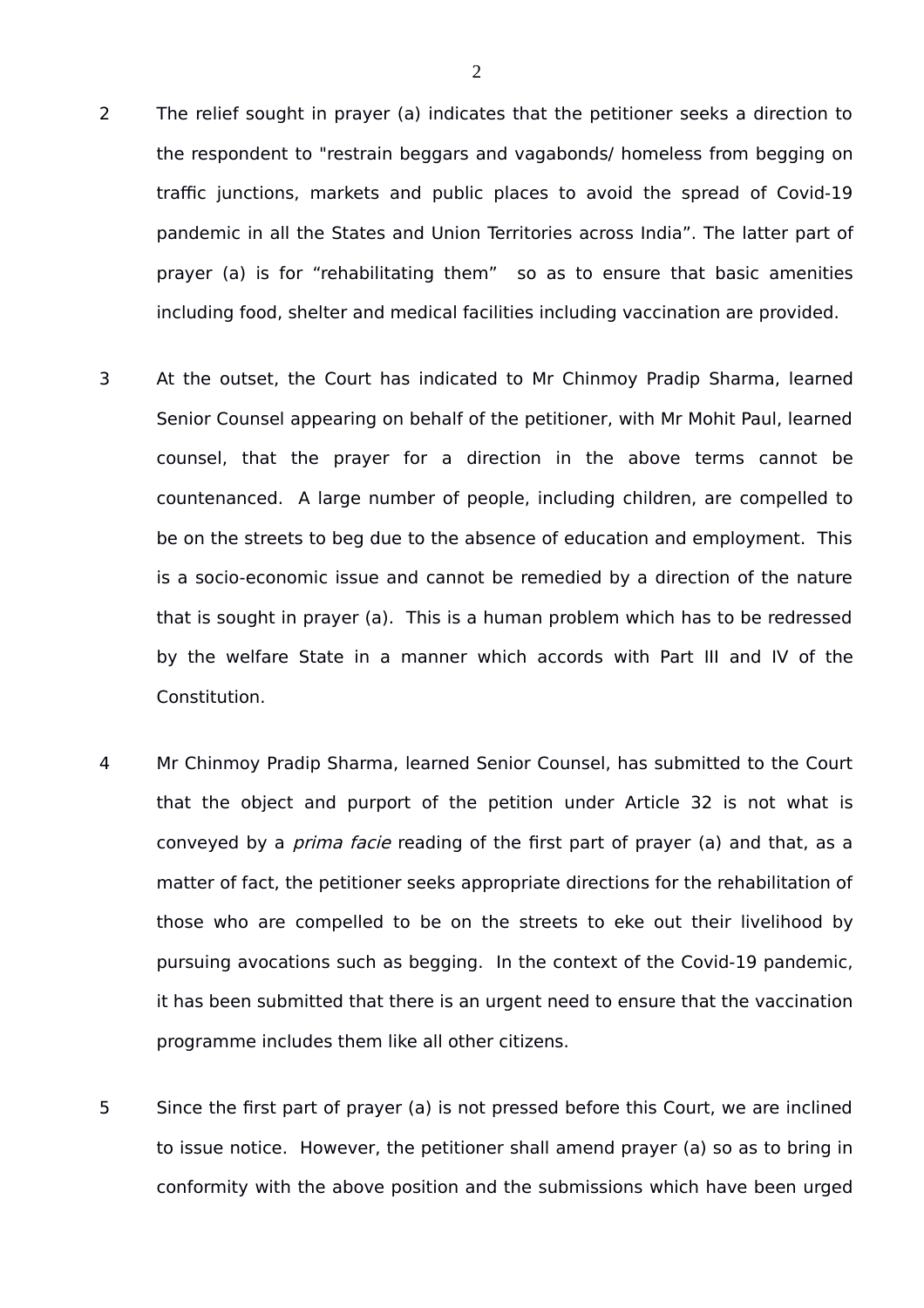- 2 The relief sought in prayer (a) indicates that the petitioner seeks a direction to the respondent to "restrain beggars and vagabonds/ homeless from begging on traffic junctions, markets and public places to avoid the spread of Covid-19 pandemic in all the States and Union Territories across India". The latter part of prayer (a) is for "rehabilitating them" so as to ensure that basic amenities including food, shelter and medical facilities including vaccination are provided.
- 3 At the outset, the Court has indicated to Mr Chinmoy Pradip Sharma, learned Senior Counsel appearing on behalf of the petitioner, with Mr Mohit Paul, learned counsel, that the prayer for a direction in the above terms cannot be countenanced. A large number of people, including children, are compelled to be on the streets to beg due to the absence of education and employment. This is a socio-economic issue and cannot be remedied by a direction of the nature that is sought in prayer (a). This is a human problem which has to be redressed by the welfare State in a manner which accords with Part III and IV of the Constitution.
- 4 Mr Chinmoy Pradip Sharma, learned Senior Counsel, has submitted to the Court that the object and purport of the petition under Article 32 is not what is conveyed by a *prima facie* reading of the first part of prayer (a) and that, as a matter of fact, the petitioner seeks appropriate directions for the rehabilitation of those who are compelled to be on the streets to eke out their livelihood by pursuing avocations such as begging. In the context of the Covid-19 pandemic, it has been submitted that there is an urgent need to ensure that the vaccination programme includes them like all other citizens.
- 5 Since the first part of prayer (a) is not pressed before this Court, we are inclined to issue notice. However, the petitioner shall amend prayer (a) so as to bring in conformity with the above position and the submissions which have been urged